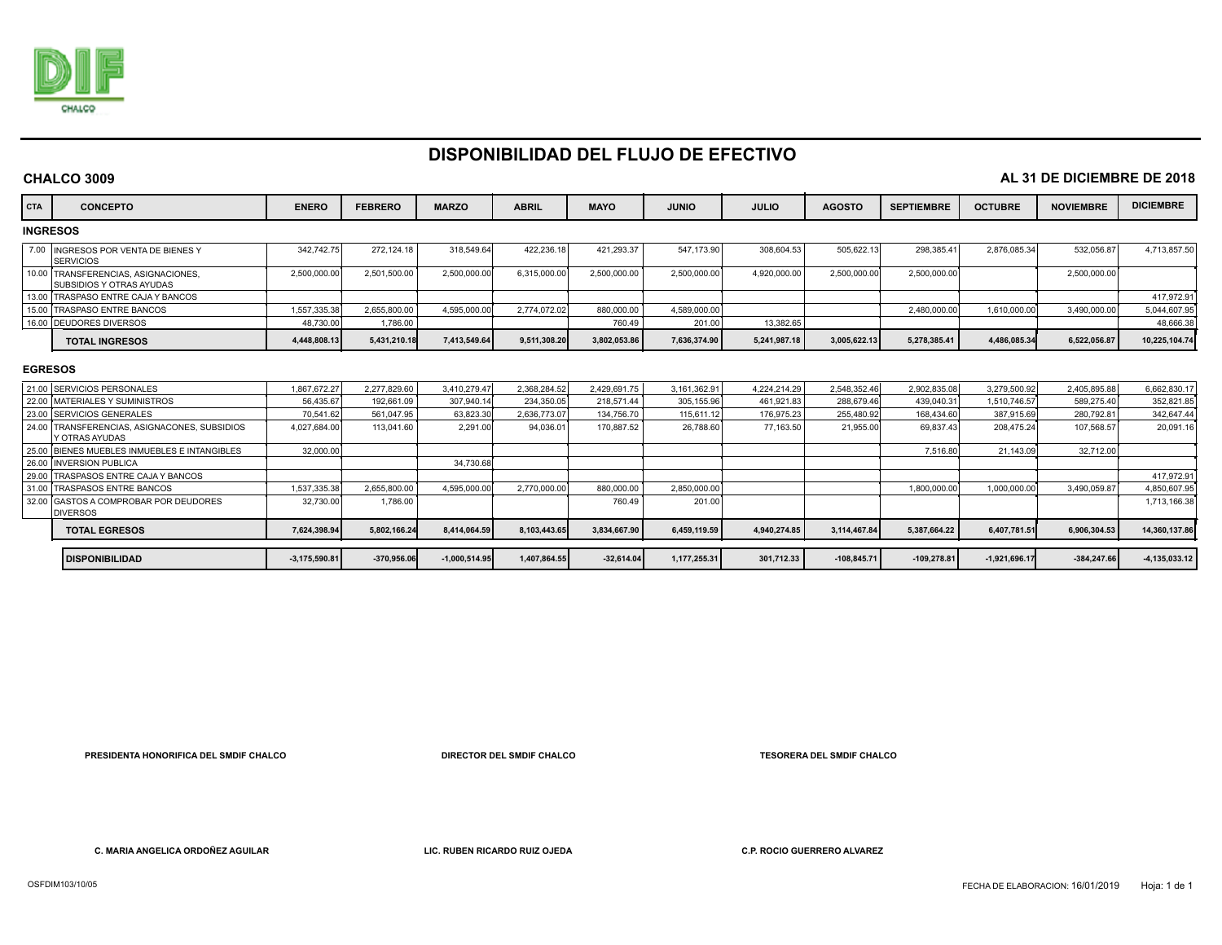

**CHALCO 3009**

## **DISPONIBILIDAD DEL FLUJO DE EFECTIVO**

| CHALCO 3009                    | AL 31 DE DICIEMBRE DE 2018                                             |                   |                |                 |              |              |              |              |               |                   |                 |                  |                   |
|--------------------------------|------------------------------------------------------------------------|-------------------|----------------|-----------------|--------------|--------------|--------------|--------------|---------------|-------------------|-----------------|------------------|-------------------|
| <b>CTA</b><br><b>CONCEPTO</b>  |                                                                        | <b>ENERO</b>      | <b>FEBRERO</b> | <b>MARZO</b>    | <b>ABRIL</b> | <b>MAYO</b>  | <b>JUNIO</b> | <b>JULIO</b> | <b>AGOSTO</b> | <b>SEPTIEMBRE</b> | <b>OCTUBRE</b>  | <b>NOVIEMBRE</b> | <b>DICIEMBRE</b>  |
| <b>INGRESOS</b>                |                                                                        |                   |                |                 |              |              |              |              |               |                   |                 |                  |                   |
| <b>SERVICIOS</b>               | 7.00 INGRESOS POR VENTA DE BIENES Y                                    | 342,742.75        | 272.124.18     | 318,549.64      | 422,236.18   | 421,293.37   | 547,173.90   | 308,604.53   | 505,622.13    | 298,385.41        | 2,876,085.34    | 532,056.87       | 4,713,857.50      |
|                                | 10.00 TRANSFERENCIAS, ASIGNACIONES<br><b>ISUBSIDIOS Y OTRAS AYUDAS</b> | 2,500,000.00      | 2,501,500.00   | 2,500,000.00    | 6,315,000.00 | 2,500,000.00 | 2,500,000.00 | 4,920,000.00 | 2,500,000.00  | 2,500,000.00      |                 | 2,500,000.00     |                   |
|                                | 13.00 TRASPASO ENTRE CAJA Y BANCOS                                     |                   |                |                 |              |              |              |              |               |                   |                 |                  | 417.972.91        |
| 15.00 TRASPASO ENTRE BANCOS    |                                                                        | 1,557,335.38      | 2.655.800.00   | 4.595.000.00    | 2.774.072.02 | 880,000.00   | 4.589.000.00 |              |               | 2,480,000.00      | 1,610,000.00    | 3.490.000.00     | 5,044,607.95      |
| 16.00 DEUDORES DIVERSOS        |                                                                        | 48,730.00         | 1,786.00       |                 |              | 760.49       | 201.00       | 13.382.65    |               |                   |                 |                  | 48,666.38         |
| <b>TOTAL INGRESOS</b>          |                                                                        | 4,448,808.13      | 5,431,210.18   | 7,413,549.64    | 9,511,308.20 | 3,802,053.86 | 7,636,374.90 | 5,241,987.18 | 3,005,622.13  | 5,278,385.41      | 4,486,085.34    | 6,522,056.87     | 10,225,104.74     |
| 21.00 SERVICIOS PERSONALES     |                                                                        | 1.867.672.27      | 2.277.829.60   | 3.410.279.47    | 2.368.284.52 | 2.429.691.75 | 3.161.362.91 | 4.224.214.29 | 2.548.352.46  | 2.902.835.08      | 3.279.500.92    | 2.405.895.88     | 6.662.830.17      |
| <b>EGRESOS</b>                 |                                                                        |                   |                |                 |              |              |              |              |               |                   |                 |                  |                   |
| 22.00 MATERIALES Y SUMINISTROS |                                                                        | 56,435.67         | 192.661.09     | 307.940.14      | 234.350.05   | 218.571.44   | 305,155.96   | 461.921.83   | 288.679.46    | 439.040.31        | 1,510,746.57    | 589.275.40       | 352,821.85        |
| 23.00 SERVICIOS GENERALES      |                                                                        | 70.541.62         | 561.047.95     | 63.823.30       | 2.636.773.0  | 134.756.70   | 115.611.12   | 176.975.23   | 255.480.92    | 168,434,60        | 387,915.69      | 280.792.8        | 342.647.44        |
| Y OTRAS AYUDAS                 | 24.00 TRANSFERENCIAS, ASIGNACONES, SUBSIDIOS                           | 4.027.684.00      | 113.041.60     | 2.291.00        | 94,036.0     | 170.887.52   | 26.788.60    | 77.163.50    | 21.955.00     | 69,837.43         | 208.475.24      | 107.568.57       | 20,091.16         |
|                                | 25.00 BIENES MUEBLES INMUEBLES E INTANGIBLES                           | 32,000.00         |                |                 |              |              |              |              |               | 7,516.80          | 21.143.09       | 32.712.00        |                   |
| 26.00 INVERSION PUBLICA        |                                                                        |                   |                | 34.730.68       |              |              |              |              |               |                   |                 |                  |                   |
|                                | 29.00 TRASPASOS ENTRE CAJA Y BANCOS                                    |                   |                |                 |              |              |              |              |               |                   |                 |                  | 417,972.9         |
| 31.00 TRASPASOS ENTRE BANCOS   |                                                                        | 1,537,335.38      | 2.655.800.00   | 4.595.000.00    | 2.770.000.00 | 880,000.00   | 2.850.000.00 |              |               | 1,800,000.0       | 1,000,000.00    | 3.490.059.87     | 4,850,607.95      |
| <b>DIVERSOS</b>                | 32.00 GASTOS A COMPROBAR POR DEUDORES                                  | 32,730.00         | 1,786.00       |                 |              | 760.49       | 201.00       |              |               |                   |                 |                  | 1,713,166.38      |
| <b>TOTAL EGRESOS</b>           |                                                                        | 7.624.398.94      | 5.802.166.24   | 8.414.064.59    | 8.103.443.65 | 3.834.667.90 | 6,459,119.59 | 4.940.274.85 | 3.114.467.84  | 5,387,664.22      | 6,407,781.51    | 6.906.304.53     | 14,360,137.86     |
| <b>DISPONIBILIDAD</b>          |                                                                        | $-3, 175, 590.81$ | $-370,956.06$  | $-1,000,514.95$ | 1,407,864.55 | $-32,614.04$ | 1,177,255.31 | 301,712.33   | $-108,845.71$ | $-109,278.81$     | $-1,921,696.17$ | $-384,247.66$    | $-4, 135, 033.12$ |

 **PRESIDENTA HONORIFICA DEL SMDIF CHALCO DIRECTOR DEL SMDIF CHALCO TESORERA DEL SMDIF CHALCO** 

 **C. MARIA ANGELICA ORDOÑEZ AGUILAR LIC. RUBEN RICARDO RUIZ OJEDA C.P. ROCIO GUERRERO ALVAREZ**